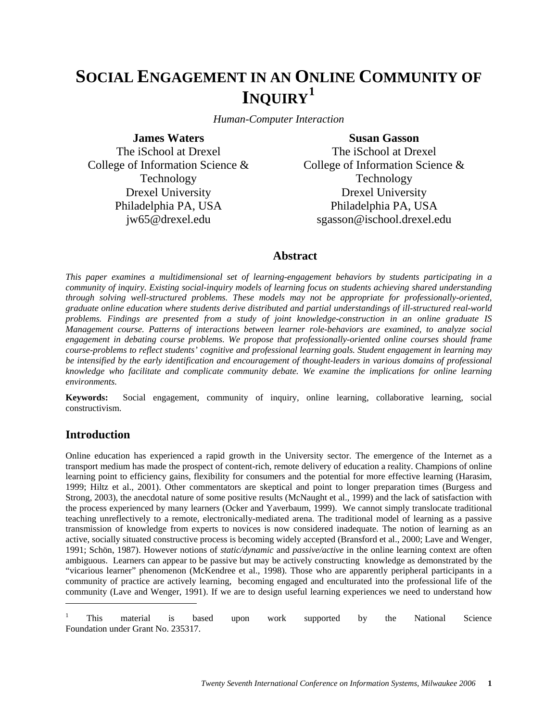# **SOCIAL ENGAGEMENT IN AN ONLINE COMMUNITY OF INQUIRY[1](#page-0-0)**

*Human-Computer Interaction* 

**James Waters**  The iSchool at Drexel College of Information Science & Technology Drexel University Philadelphia PA, USA jw65@drexel.edu

**Susan Gasson**  The iSchool at Drexel College of Information Science & Technology Drexel University Philadelphia PA, USA sgasson@ischool.drexel.edu

# **Abstract**

*This paper examines a multidimensional set of learning-engagement behaviors by students participating in a community of inquiry. Existing social-inquiry models of learning focus on students achieving shared understanding through solving well-structured problems. These models may not be appropriate for professionally-oriented, graduate online education where students derive distributed and partial understandings of ill-structured real-world problems. Findings are presented from a study of joint knowledge-construction in an online graduate IS Management course. Patterns of interactions between learner role-behaviors are examined, to analyze social engagement in debating course problems. We propose that professionally-oriented online courses should frame course-problems to reflect students' cognitive and professional learning goals. Student engagement in learning may be intensified by the early identification and encouragement of thought-leaders in various domains of professional knowledge who facilitate and complicate community debate. We examine the implications for online learning environments.*

**Keywords:** Social engagement, community of inquiry, online learning, collaborative learning, social constructivism.

# **Introduction**

 $\overline{a}$ 

Online education has experienced a rapid growth in the University sector. The emergence of the Internet as a transport medium has made the prospect of content-rich, remote delivery of education a reality. Champions of online learning point to efficiency gains, flexibility for consumers and the potential for more effective learning (Harasim, 1999; Hiltz et al., 2001). Other commentators are skeptical and point to longer preparation times (Burgess and Strong, 2003), the anecdotal nature of some positive results (McNaught et al., 1999) and the lack of satisfaction with the process experienced by many learners (Ocker and Yaverbaum, 1999). We cannot simply translocate traditional teaching unreflectively to a remote, electronically-mediated arena. The traditional model of learning as a passive transmission of knowledge from experts to novices is now considered inadequate. The notion of learning as an active, socially situated constructive process is becoming widely accepted (Bransford et al., 2000; Lave and Wenger, 1991; Schön, 1987). However notions of *static/dynamic* and *passive/active* in the online learning context are often ambiguous. Learners can appear to be passive but may be actively constructing knowledge as demonstrated by the "vicarious learner" phenomenon (McKendree et al., 1998). Those who are apparently peripheral participants in a community of practice are actively learning, becoming engaged and enculturated into the professional life of the community (Lave and Wenger, 1991). If we are to design useful learning experiences we need to understand how

<span id="page-0-0"></span><sup>1</sup> This material is based upon work supported by the National Science Foundation under Grant No. 235317.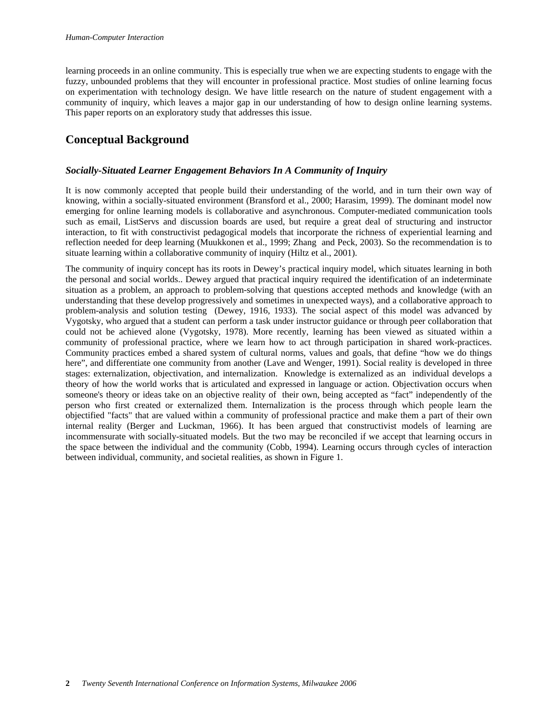learning proceeds in an online community. This is especially true when we are expecting students to engage with the fuzzy, unbounded problems that they will encounter in professional practice. Most studies of online learning focus on experimentation with technology design. We have little research on the nature of student engagement with a community of inquiry, which leaves a major gap in our understanding of how to design online learning systems. This paper reports on an exploratory study that addresses this issue.

# **Conceptual Background**

# *Socially-Situated Learner Engagement Behaviors In A Community of Inquiry*

It is now commonly accepted that people build their understanding of the world, and in turn their own way of knowing, within a socially-situated environment (Bransford et al., 2000; Harasim, 1999). The dominant model now emerging for online learning models is collaborative and asynchronous. Computer-mediated communication tools such as email, ListServs and discussion boards are used, but require a great deal of structuring and instructor interaction, to fit with constructivist pedagogical models that incorporate the richness of experiential learning and reflection needed for deep learning (Muukkonen et al., 1999; Zhang and Peck, 2003). So the recommendation is to situate learning within a collaborative community of inquiry (Hiltz et al., 2001).

The community of inquiry concept has its roots in Dewey's practical inquiry model, which situates learning in both the personal and social worlds.. Dewey argued that practical inquiry required the identification of an indeterminate situation as a problem, an approach to problem-solving that questions accepted methods and knowledge (with an understanding that these develop progressively and sometimes in unexpected ways), and a collaborative approach to problem-analysis and solution testing (Dewey, 1916, 1933). The social aspect of this model was advanced by Vygotsky, who argued that a student can perform a task under instructor guidance or through peer collaboration that could not be achieved alone (Vygotsky, 1978). More recently, learning has been viewed as situated within a community of professional practice, where we learn how to act through participation in shared work-practices. Community practices embed a shared system of cultural norms, values and goals, that define "how we do things here", and differentiate one community from another (Lave and Wenger, 1991). Social reality is developed in three stages: externalization, objectivation, and internalization. Knowledge is externalized as an individual develops a theory of how the world works that is articulated and expressed in language or action. Objectivation occurs when someone's theory or ideas take on an objective reality of their own, being accepted as "fact" independently of the person who first created or externalized them. Internalization is the process through which people learn the objectified "facts" that are valued within a community of professional practice and make them a part of their own internal reality (Berger and Luckman, 1966). It has been argued that constructivist models of learning are incommensurate with socially-situated models. But the two may be reconciled if we accept that learning occurs in the space between the individual and the community (Cobb, 1994). Learning occurs through cycles of interaction between individual, community, and societal realities, as shown in Figure 1.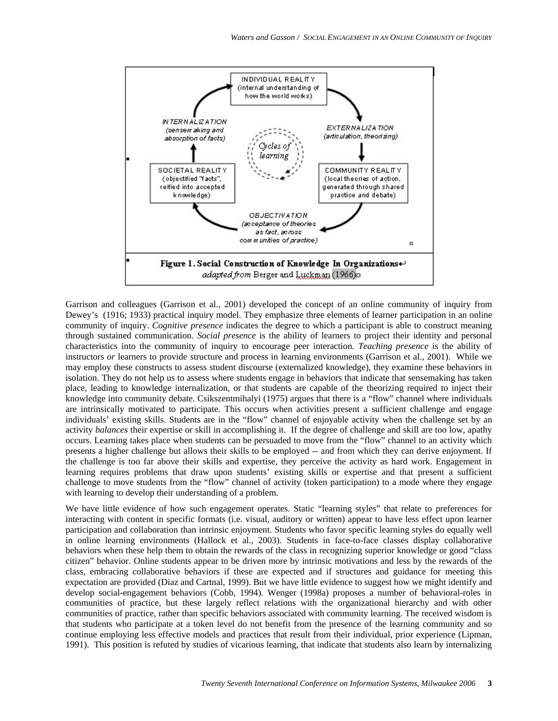

Garrison and colleagues (Garrison et al., 2001) developed the concept of an online community of inquiry from Dewey's (1916; 1933) practical inquiry model. They emphasize three elements of learner participation in an online community of inquiry. *Cognitive presence* indicates the degree to which a participant is able to construct meaning through sustained communication. *Social presence* is the ability of learners to project their identity and personal characteristics into the community of inquiry to encourage peer interaction. *Teaching presence* is the ability of instructors *or* learners to provide structure and process in learning environments (Garrison et al., 2001). While we may employ these constructs to assess student discourse (externalized knowledge), they examine these behaviors in isolation. They do not help us to assess where students engage in behaviors that indicate that sensemaking has taken place, leading to knowledge internalization, or that students are capable of the theorizing required to inject their knowledge into community debate. Csikszentmihalyi (1975) argues that there is a "flow" channel where individuals are intrinsically motivated to participate. This occurs when activities present a sufficient challenge and engage individuals' existing skills. Students are in the "flow" channel of enjoyable activity when the challenge set by an activity *balances* their expertise or skill in accomplishing it. If the degree of challenge and skill are too low, apathy occurs. Learning takes place when students can be persuaded to move from the "flow" channel to an activity which presents a higher challenge but allows their skills to be employed -- and from which they can derive enjoyment. If the challenge is too far above their skills and expertise, they perceive the activity as hard work. Engagement in learning requires problems that draw upon students' existing skills or expertise and that present a sufficient challenge to move students from the "flow" channel of activity (token participation) to a mode where they engage with learning to develop their understanding of a problem.

We have little evidence of how such engagement operates. Static "learning styles" that relate to preferences for interacting with content in specific formats (i.e. visual, auditory or written) appear to have less effect upon learner participation and collaboration than intrinsic enjoyment. Students who favor specific learning styles do equally well in online learning environments (Hallock et al., 2003). Students in face-to-face classes display collaborative behaviors when these help them to obtain the rewards of the class in recognizing superior knowledge or good "class citizen" behavior. Online students appear to be driven more by intrinsic motivations and less by the rewards of the class, embracing collaborative behaviors if these are expected and if structures and guidance for meeting this expectation are provided (Diaz and Cartnal, 1999). But we have little evidence to suggest how we might identify and develop social-engagement behaviors (Cobb, 1994). Wenger (1998a) proposes a number of behavioral-roles in communities of practice, but these largely reflect relations with the organizational hierarchy and with other communities of practice, rather than specific behaviors associated with community learning. The received wisdom is that students who participate at a token level do not benefit from the presence of the learning community and so continue employing less effective models and practices that result from their individual, prior experience (Lipman, 1991). This position is refuted by studies of vicarious learning, that indicate that students also learn by internalizing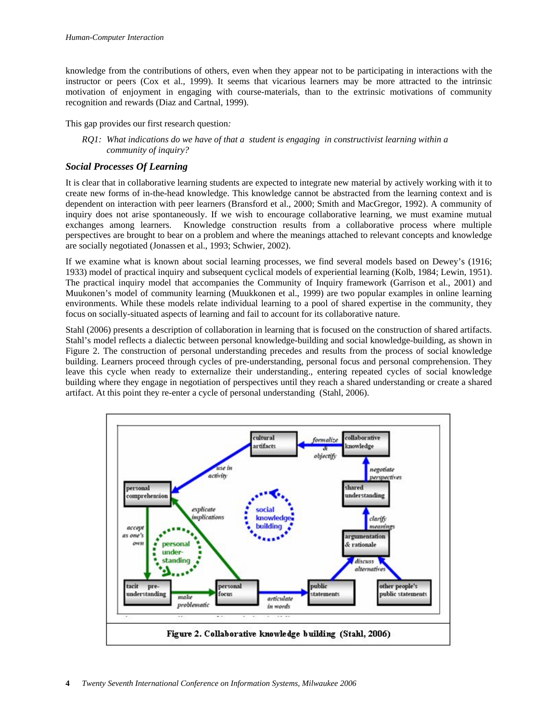knowledge from the contributions of others, even when they appear not to be participating in interactions with the instructor or peers (Cox et al., 1999). It seems that vicarious learners may be more attracted to the intrinsic motivation of enjoyment in engaging with course-materials, than to the extrinsic motivations of community recognition and rewards (Diaz and Cartnal, 1999).

This gap provides our first research question*:* 

*RQ1: What indications do we have of that a student is engaging in constructivist learning within a community of inquiry?* 

## *Social Processes Of Learning*

It is clear that in collaborative learning students are expected to integrate new material by actively working with it to create new forms of in-the-head knowledge. This knowledge cannot be abstracted from the learning context and is dependent on interaction with peer learners (Bransford et al., 2000; Smith and MacGregor, 1992). A community of inquiry does not arise spontaneously. If we wish to encourage collaborative learning, we must examine mutual exchanges among learners. Knowledge construction results from a collaborative process where multiple perspectives are brought to bear on a problem and where the meanings attached to relevant concepts and knowledge are socially negotiated (Jonassen et al., 1993; Schwier, 2002).

If we examine what is known about social learning processes, we find several models based on Dewey's (1916; 1933) model of practical inquiry and subsequent cyclical models of experiential learning (Kolb, 1984; Lewin, 1951). The practical inquiry model that accompanies the Community of Inquiry framework (Garrison et al., 2001) and Muukonen's model of community learning (Muukkonen et al., 1999) are two popular examples in online learning environments. While these models relate individual learning to a pool of shared expertise in the community, they focus on socially-situated aspects of learning and fail to account for its collaborative nature.

Stahl (2006) presents a description of collaboration in learning that is focused on the construction of shared artifacts. Stahl's model reflects a dialectic between personal knowledge-building and social knowledge-building, as shown in Figure 2. The construction of personal understanding precedes and results from the process of social knowledge building. Learners proceed through cycles of pre-understanding, personal focus and personal comprehension. They leave this cycle when ready to externalize their understanding., entering repeated cycles of social knowledge building where they engage in negotiation of perspectives until they reach a shared understanding or create a shared artifact. At this point they re-enter a cycle of personal understanding (Stahl, 2006).

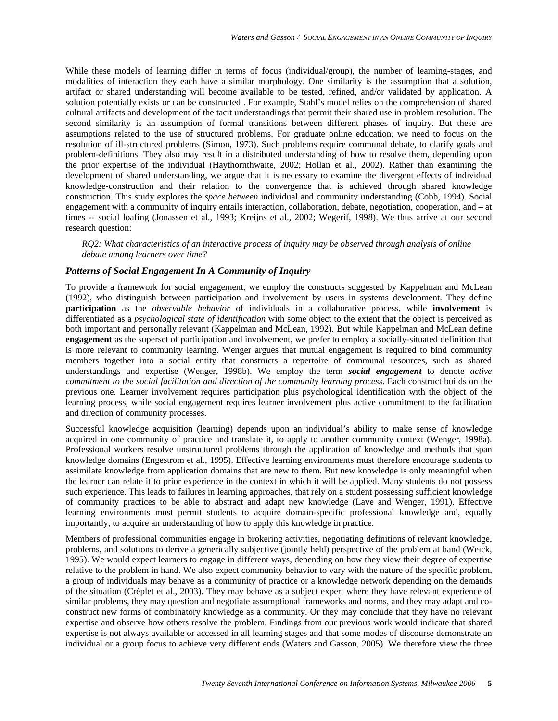While these models of learning differ in terms of focus (individual/group), the number of learning-stages, and modalities of interaction they each have a similar morphology. One similarity is the assumption that a solution, artifact or shared understanding will become available to be tested, refined, and/or validated by application. A solution potentially exists or can be constructed . For example, Stahl's model relies on the comprehension of shared cultural artifacts and development of the tacit understandings that permit their shared use in problem resolution. The second similarity is an assumption of formal transitions between different phases of inquiry. But these are assumptions related to the use of structured problems. For graduate online education, we need to focus on the resolution of ill-structured problems (Simon, 1973). Such problems require communal debate, to clarify goals and problem-definitions. They also may result in a distributed understanding of how to resolve them, depending upon the prior expertise of the individual (Haythornthwaite, 2002; Hollan et al., 2002). Rather than examining the development of shared understanding, we argue that it is necessary to examine the divergent effects of individual knowledge-construction and their relation to the convergence that is achieved through shared knowledge construction. This study explores the *space between* individual and community understanding (Cobb, 1994). Social engagement with a community of inquiry entails interaction, collaboration, debate, negotiation, cooperation, and – at times -- social loafing (Jonassen et al., 1993; Kreijns et al., 2002; Wegerif, 1998). We thus arrive at our second research question:

*RQ2: What characteristics of an interactive process of inquiry may be observed through analysis of online debate among learners over time?* 

#### *Patterns of Social Engagement In A Community of Inquiry*

To provide a framework for social engagement, we employ the constructs suggested by Kappelman and McLean (1992), who distinguish between participation and involvement by users in systems development. They define **participation** as the *observable behavior* of individuals in a collaborative process, while **involvement** is differentiated as a *psychological state of identification* with some object to the extent that the object is perceived as both important and personally relevant (Kappelman and McLean, 1992). But while Kappelman and McLean define **engagement** as the superset of participation and involvement, we prefer to employ a socially-situated definition that is more relevant to community learning. Wenger argues that mutual engagement is required to bind community members together into a social entity that constructs a repertoire of communal resources, such as shared understandings and expertise (Wenger, 1998b). We employ the term *social engagement* to denote *active commitment to the social facilitation and direction of the community learning process*. Each construct builds on the previous one. Learner involvement requires participation plus psychological identification with the object of the learning process, while social engagement requires learner involvement plus active commitment to the facilitation and direction of community processes.

Successful knowledge acquisition (learning) depends upon an individual's ability to make sense of knowledge acquired in one community of practice and translate it, to apply to another community context (Wenger, 1998a). Professional workers resolve unstructured problems through the application of knowledge and methods that span knowledge domains (Engestrom et al., 1995). Effective learning environments must therefore encourage students to assimilate knowledge from application domains that are new to them. But new knowledge is only meaningful when the learner can relate it to prior experience in the context in which it will be applied. Many students do not possess such experience. This leads to failures in learning approaches, that rely on a student possessing sufficient knowledge of community practices to be able to abstract and adapt new knowledge (Lave and Wenger, 1991). Effective learning environments must permit students to acquire domain-specific professional knowledge and, equally importantly, to acquire an understanding of how to apply this knowledge in practice.

Members of professional communities engage in brokering activities, negotiating definitions of relevant knowledge, problems, and solutions to derive a generically subjective (jointly held) perspective of the problem at hand (Weick, 1995). We would expect learners to engage in different ways, depending on how they view their degree of expertise relative to the problem in hand. We also expect community behavior to vary with the nature of the specific problem, a group of individuals may behave as a community of practice or a knowledge network depending on the demands of the situation (Créplet et al., 2003). They may behave as a subject expert where they have relevant experience of similar problems, they may question and negotiate assumptional frameworks and norms, and they may adapt and coconstruct new forms of combinatory knowledge as a community. Or they may conclude that they have no relevant expertise and observe how others resolve the problem. Findings from our previous work would indicate that shared expertise is not always available or accessed in all learning stages and that some modes of discourse demonstrate an individual or a group focus to achieve very different ends (Waters and Gasson, 2005). We therefore view the three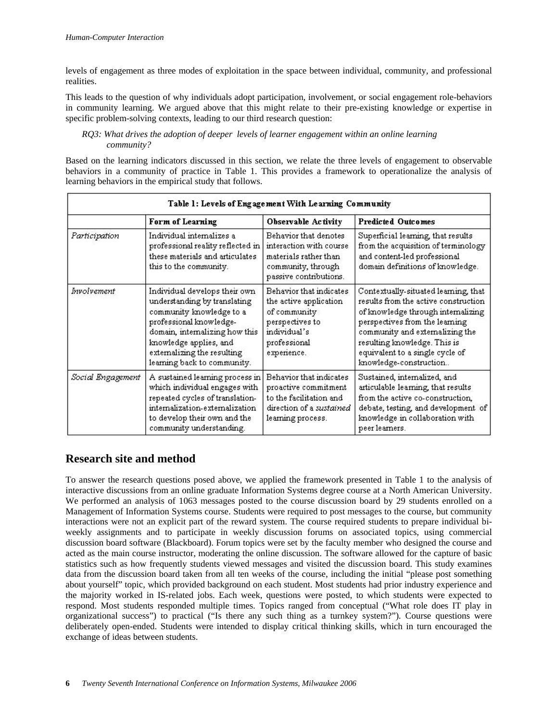levels of engagement as three modes of exploitation in the space between individual, community, and professional realities.

This leads to the question of why individuals adopt participation, involvement, or social engagement role-behaviors in community learning. We argued above that this might relate to their pre-existing knowledge or expertise in specific problem-solving contexts, leading to our third research question:

#### *RQ3: What drives the adoption of deeper levels of learner engagement within an online learning community?*

Based on the learning indicators discussed in this section, we relate the three levels of engagement to observable behaviors in a community of practice in Table 1. This provides a framework to operationalize the analysis of learning behaviors in the empirical study that follows.

| Table 1: Levels of Engagement With Learning Community |                                                                                                                                                                                                                                                |                                                                                                                                     |                                                                                                                                                                                                                                                                                      |  |
|-------------------------------------------------------|------------------------------------------------------------------------------------------------------------------------------------------------------------------------------------------------------------------------------------------------|-------------------------------------------------------------------------------------------------------------------------------------|--------------------------------------------------------------------------------------------------------------------------------------------------------------------------------------------------------------------------------------------------------------------------------------|--|
|                                                       | Form of Learning                                                                                                                                                                                                                               | Observable Activity                                                                                                                 | <b>Predicted Outcomes</b>                                                                                                                                                                                                                                                            |  |
| Participation                                         | Individual internalizes a<br>professional reality reflected in<br>these materials and articulates<br>this to the community.                                                                                                                    | Behavior that denotes<br>interaction with course<br>materials rather than<br>community, through<br>passive contributions.           | Superficial learning, that results<br>from the acquisition of terminology<br>and content-led professional<br>domain definitions of knowledge.                                                                                                                                        |  |
| Involvement                                           | Individual develops their own<br>understanding by translating<br>community knowledge to a<br>professional knowledge-<br>domain, internalizing how this<br>knowledge applies, and<br>externalizing the resulting<br>learning back to community. | Behavior that indicates<br>the active application<br>of community<br>perspectives to<br>individual's<br>professional<br>experience. | Contextually-situated learning, that<br>results from the active construction<br>of knowledge through internalizing<br>perspectives from the learning<br>community and externalizing the<br>resulting knowledge. This is<br>equivalent to a single cycle of<br>knowledge-construction |  |
| Social Engagement                                     | A sustained learning process in<br>which individual engages with<br>repeated cycles of translation-<br>internalization-externalization<br>to develop their own and the<br>community understanding.                                             | Behavior that indicates<br>proactive commitment<br>to the facilitation and<br>direction of a sustained<br>learning process.         | Sustained, internalized, and<br>articulable learning, that results<br>from the active co-construction,<br>debate, testing, and development of<br>knowledge in collaboration with<br>peer learners.                                                                                   |  |

# **Research site and method**

To answer the research questions posed above, we applied the framework presented in Table 1 to the analysis of interactive discussions from an online graduate Information Systems degree course at a North American University. We performed an analysis of 1063 messages posted to the course discussion board by 29 students enrolled on a Management of Information Systems course. Students were required to post messages to the course, but community interactions were not an explicit part of the reward system. The course required students to prepare individual biweekly assignments and to participate in weekly discussion forums on associated topics, using commercial discussion board software (Blackboard). Forum topics were set by the faculty member who designed the course and acted as the main course instructor, moderating the online discussion. The software allowed for the capture of basic statistics such as how frequently students viewed messages and visited the discussion board. This study examines data from the discussion board taken from all ten weeks of the course, including the initial "please post something about yourself" topic, which provided background on each student. Most students had prior industry experience and the majority worked in IS-related jobs. Each week, questions were posted, to which students were expected to respond. Most students responded multiple times. Topics ranged from conceptual ("What role does IT play in organizational success") to practical ("Is there any such thing as a turnkey system?"). Course questions were deliberately open-ended. Students were intended to display critical thinking skills, which in turn encouraged the exchange of ideas between students.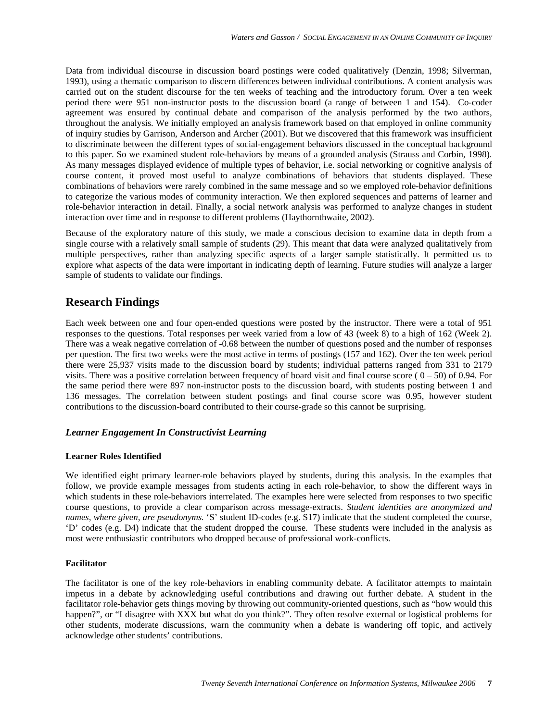Data from individual discourse in discussion board postings were coded qualitatively (Denzin, 1998; Silverman, 1993), using a thematic comparison to discern differences between individual contributions. A content analysis was carried out on the student discourse for the ten weeks of teaching and the introductory forum. Over a ten week period there were 951 non-instructor posts to the discussion board (a range of between 1 and 154). Co-coder agreement was ensured by continual debate and comparison of the analysis performed by the two authors, throughout the analysis. We initially employed an analysis framework based on that employed in online community of inquiry studies by Garrison, Anderson and Archer (2001). But we discovered that this framework was insufficient to discriminate between the different types of social-engagement behaviors discussed in the conceptual background to this paper. So we examined student role-behaviors by means of a grounded analysis (Strauss and Corbin, 1998). As many messages displayed evidence of multiple types of behavior, i.e. social networking or cognitive analysis of course content, it proved most useful to analyze combinations of behaviors that students displayed. These combinations of behaviors were rarely combined in the same message and so we employed role-behavior definitions to categorize the various modes of community interaction. We then explored sequences and patterns of learner and role-behavior interaction in detail. Finally, a social network analysis was performed to analyze changes in student interaction over time and in response to different problems (Haythornthwaite, 2002).

Because of the exploratory nature of this study, we made a conscious decision to examine data in depth from a single course with a relatively small sample of students (29). This meant that data were analyzed qualitatively from multiple perspectives, rather than analyzing specific aspects of a larger sample statistically. It permitted us to explore what aspects of the data were important in indicating depth of learning. Future studies will analyze a larger sample of students to validate our findings.

# **Research Findings**

Each week between one and four open-ended questions were posted by the instructor. There were a total of 951 responses to the questions. Total responses per week varied from a low of 43 (week 8) to a high of 162 (Week 2). There was a weak negative correlation of -0.68 between the number of questions posed and the number of responses per question. The first two weeks were the most active in terms of postings (157 and 162). Over the ten week period there were 25,937 visits made to the discussion board by students; individual patterns ranged from 331 to 2179 visits. There was a positive correlation between frequency of board visit and final course score ( $0 - 50$ ) of 0.94. For the same period there were 897 non-instructor posts to the discussion board, with students posting between 1 and 136 messages. The correlation between student postings and final course score was 0.95, however student contributions to the discussion-board contributed to their course-grade so this cannot be surprising.

## *Learner Engagement In Constructivist Learning*

## **Learner Roles Identified**

We identified eight primary learner-role behaviors played by students, during this analysis. In the examples that follow, we provide example messages from students acting in each role-behavior, to show the different ways in which students in these role-behaviors interrelated. The examples here were selected from responses to two specific course questions, to provide a clear comparison across message-extracts. *Student identities are anonymized and names, where given, are pseudonyms.* 'S' student ID-codes (e.g. S17) indicate that the student completed the course, 'D' codes (e.g. D4) indicate that the student dropped the course. These students were included in the analysis as most were enthusiastic contributors who dropped because of professional work-conflicts.

## **Facilitator**

The facilitator is one of the key role-behaviors in enabling community debate. A facilitator attempts to maintain impetus in a debate by acknowledging useful contributions and drawing out further debate. A student in the facilitator role-behavior gets things moving by throwing out community-oriented questions, such as "how would this happen?", or "I disagree with XXX but what do you think?". They often resolve external or logistical problems for other students, moderate discussions, warn the community when a debate is wandering off topic, and actively acknowledge other students' contributions.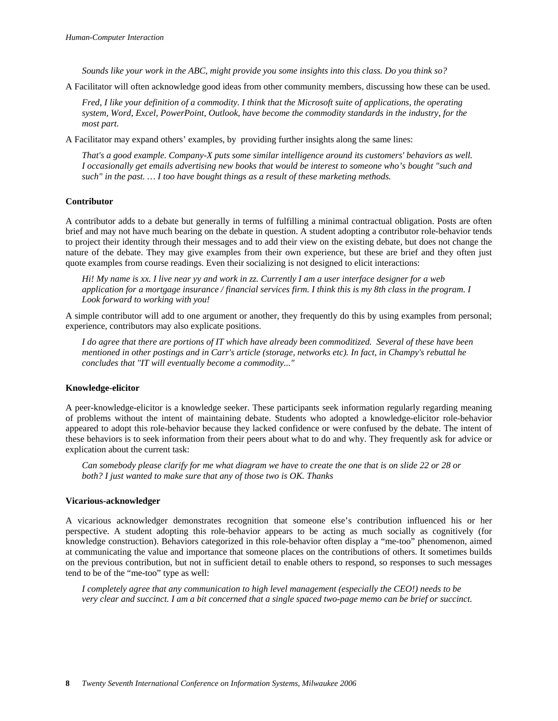*Sounds like your work in the ABC, might provide you some insights into this class. Do you think so?* 

A Facilitator will often acknowledge good ideas from other community members, discussing how these can be used.

*Fred, I like your definition of a commodity. I think that the Microsoft suite of applications, the operating system, Word, Excel, PowerPoint, Outlook, have become the commodity standards in the industry, for the most part.* 

A Facilitator may expand others' examples, by providing further insights along the same lines:

*That's a good example. Company-X puts some similar intelligence around its customers' behaviors as well. I occasionally get emails advertising new books that would be interest to someone who's bought "such and such" in the past. … I too have bought things as a result of these marketing methods.* 

#### **Contributor**

A contributor adds to a debate but generally in terms of fulfilling a minimal contractual obligation. Posts are often brief and may not have much bearing on the debate in question. A student adopting a contributor role-behavior tends to project their identity through their messages and to add their view on the existing debate, but does not change the nature of the debate. They may give examples from their own experience, but these are brief and they often just quote examples from course readings. Even their socializing is not designed to elicit interactions:

*Hi! My name is xx. I live near yy and work in zz. Currently I am a user interface designer for a web application for a mortgage insurance / financial services firm. I think this is my 8th class in the program. I Look forward to working with you!* 

A simple contributor will add to one argument or another, they frequently do this by using examples from personal; experience, contributors may also explicate positions.

*I do agree that there are portions of IT which have already been commoditized. Several of these have been mentioned in other postings and in Carr's article (storage, networks etc). In fact, in Champy's rebuttal he concludes that "IT will eventually become a commodity..."* 

#### **Knowledge-elicitor**

A peer-knowledge-elicitor is a knowledge seeker. These participants seek information regularly regarding meaning of problems without the intent of maintaining debate. Students who adopted a knowledge-elicitor role-behavior appeared to adopt this role-behavior because they lacked confidence or were confused by the debate. The intent of these behaviors is to seek information from their peers about what to do and why. They frequently ask for advice or explication about the current task:

*Can somebody please clarify for me what diagram we have to create the one that is on slide 22 or 28 or both? I just wanted to make sure that any of those two is OK. Thanks* 

#### **Vicarious-acknowledger**

A vicarious acknowledger demonstrates recognition that someone else's contribution influenced his or her perspective. A student adopting this role-behavior appears to be acting as much socially as cognitively (for knowledge construction). Behaviors categorized in this role-behavior often display a "me-too" phenomenon, aimed at communicating the value and importance that someone places on the contributions of others. It sometimes builds on the previous contribution, but not in sufficient detail to enable others to respond, so responses to such messages tend to be of the "me-too" type as well:

*I completely agree that any communication to high level management (especially the CEO!) needs to be very clear and succinct. I am a bit concerned that a single spaced two-page memo can be brief or succinct.*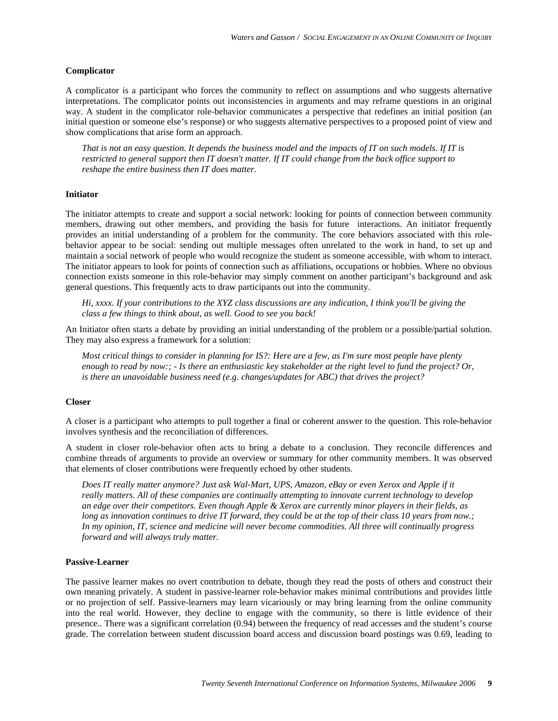#### **Complicator**

A complicator is a participant who forces the community to reflect on assumptions and who suggests alternative interpretations. The complicator points out inconsistencies in arguments and may reframe questions in an original way. A student in the complicator role-behavior communicates a perspective that redefines an initial position (an initial question or someone else's response) or who suggests alternative perspectives to a proposed point of view and show complications that arise form an approach.

*That is not an easy question. It depends the business model and the impacts of IT on such models. If IT is restricted to general support then IT doesn't matter. If IT could change from the back office support to reshape the entire business then IT does matter.* 

#### **Initiator**

The initiator attempts to create and support a social network: looking for points of connection between community members, drawing out other members, and providing the basis for future interactions. An initiator frequently provides an initial understanding of a problem for the community. The core behaviors associated with this rolebehavior appear to be social: sending out multiple messages often unrelated to the work in hand, to set up and maintain a social network of people who would recognize the student as someone accessible, with whom to interact. The initiator appears to look for points of connection such as affiliations, occupations or hobbies. Where no obvious connection exists someone in this role-behavior may simply comment on another participant's background and ask general questions. This frequently acts to draw participants out into the community.

*Hi, xxxx. If your contributions to the XYZ class discussions are any indication, I think you'll be giving the class a few things to think about, as well. Good to see you back!* 

An Initiator often starts a debate by providing an initial understanding of the problem or a possible/partial solution. They may also express a framework for a solution:

*Most critical things to consider in planning for IS?: Here are a few, as I'm sure most people have plenty enough to read by now:; - Is there an enthusiastic key stakeholder at the right level to fund the project? Or, is there an unavoidable business need (e.g. changes/updates for ABC) that drives the project?* 

#### **Closer**

A closer is a participant who attempts to pull together a final or coherent answer to the question. This role-behavior involves synthesis and the reconciliation of differences.

A student in closer role-behavior often acts to bring a debate to a conclusion. They reconcile differences and combine threads of arguments to provide an overview or summary for other community members. It was observed that elements of closer contributions were frequently echoed by other students.

*Does IT really matter anymore? Just ask Wal-Mart, UPS, Amazon, eBay or even Xerox and Apple if it really matters. All of these companies are continually attempting to innovate current technology to develop an edge over their competitors. Even though Apple & Xerox are currently minor players in their fields, as long as innovation continues to drive IT forward, they could be at the top of their class 10 years from now.; In my opinion, IT, science and medicine will never become commodities. All three will continually progress forward and will always truly matter.* 

#### **Passive-Learner**

The passive learner makes no overt contribution to debate, though they read the posts of others and construct their own meaning privately. A student in passive-learner role-behavior makes minimal contributions and provides little or no projection of self. Passive-learners may learn vicariously or may bring learning from the online community into the real world. However, they decline to engage with the community, so there is little evidence of their presence.. There was a significant correlation (0.94) between the frequency of read accesses and the student's course grade. The correlation between student discussion board access and discussion board postings was 0.69, leading to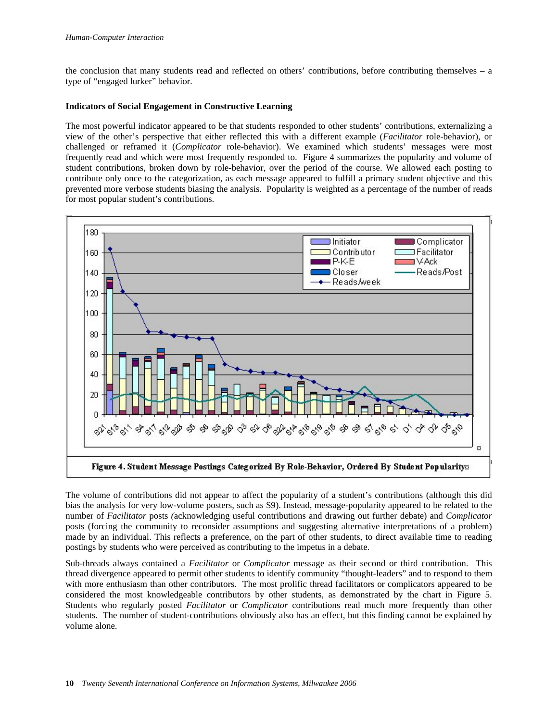the conclusion that many students read and reflected on others' contributions, before contributing themselves – a type of "engaged lurker" behavior.

#### **Indicators of Social Engagement in Constructive Learning**

The most powerful indicator appeared to be that students responded to other students' contributions, externalizing a view of the other's perspective that either reflected this with a different example (*Facilitator* role-behavior), or challenged or reframed it (*Complicator* role-behavior). We examined which students' messages were most frequently read and which were most frequently responded to. Figure 4 summarizes the popularity and volume of student contributions, broken down by role-behavior, over the period of the course. We allowed each posting to contribute only once to the categorization, as each message appeared to fulfill a primary student objective and this prevented more verbose students biasing the analysis. Popularity is weighted as a percentage of the number of reads for most popular student's contributions.



The volume of contributions did not appear to affect the popularity of a student's contributions (although this did bias the analysis for very low-volume posters, such as S9). Instead, message-popularity appeared to be related to the number of *Facilitator* posts *(*acknowledging useful contributions and drawing out further debate) and *Complicator* posts (forcing the community to reconsider assumptions and suggesting alternative interpretations of a problem) made by an individual. This reflects a preference, on the part of other students, to direct available time to reading postings by students who were perceived as contributing to the impetus in a debate.

Sub-threads always contained a *Facilitator* or *Complicator* message as their second or third contribution. This thread divergence appeared to permit other students to identify community "thought-leaders" and to respond to them with more enthusiasm than other contributors. The most prolific thread facilitators or complicators appeared to be considered the most knowledgeable contributors by other students, as demonstrated by the chart in Figure 5. Students who regularly posted *Facilitator* or *Complicator* contributions read much more frequently than other students. The number of student-contributions obviously also has an effect, but this finding cannot be explained by volume alone.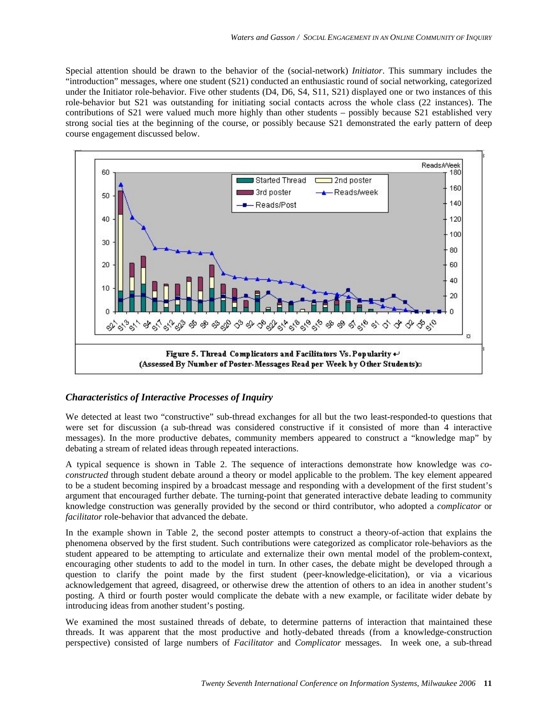Special attention should be drawn to the behavior of the (social-network) *Initiator*. This summary includes the "introduction" messages, where one student (S21) conducted an enthusiastic round of social networking, categorized under the Initiator role-behavior. Five other students (D4, D6, S4, S11, S21) displayed one or two instances of this role-behavior but S21 was outstanding for initiating social contacts across the whole class (22 instances). The contributions of S21 were valued much more highly than other students – possibly because S21 established very strong social ties at the beginning of the course, or possibly because S21 demonstrated the early pattern of deep course engagement discussed below.



## *Characteristics of Interactive Processes of Inquiry*

We detected at least two "constructive" sub-thread exchanges for all but the two least-responded-to questions that were set for discussion (a sub-thread was considered constructive if it consisted of more than 4 interactive messages). In the more productive debates, community members appeared to construct a "knowledge map" by debating a stream of related ideas through repeated interactions.

A typical sequence is shown in Table 2. The sequence of interactions demonstrate how knowledge was *coconstructed* through student debate around a theory or model applicable to the problem. The key element appeared to be a student becoming inspired by a broadcast message and responding with a development of the first student's argument that encouraged further debate. The turning-point that generated interactive debate leading to community knowledge construction was generally provided by the second or third contributor, who adopted a *complicator* or *facilitator* role-behavior that advanced the debate.

In the example shown in Table 2, the second poster attempts to construct a theory-of-action that explains the phenomena observed by the first student. Such contributions were categorized as complicator role-behaviors as the student appeared to be attempting to articulate and externalize their own mental model of the problem-context, encouraging other students to add to the model in turn. In other cases, the debate might be developed through a question to clarify the point made by the first student (peer-knowledge-elicitation), or via a vicarious acknowledgement that agreed, disagreed, or otherwise drew the attention of others to an idea in another student's posting. A third or fourth poster would complicate the debate with a new example, or facilitate wider debate by introducing ideas from another student's posting.

We examined the most sustained threads of debate, to determine patterns of interaction that maintained these threads. It was apparent that the most productive and hotly-debated threads (from a knowledge-construction perspective) consisted of large numbers of *Facilitator* and *Complicator* messages. In week one, a sub-thread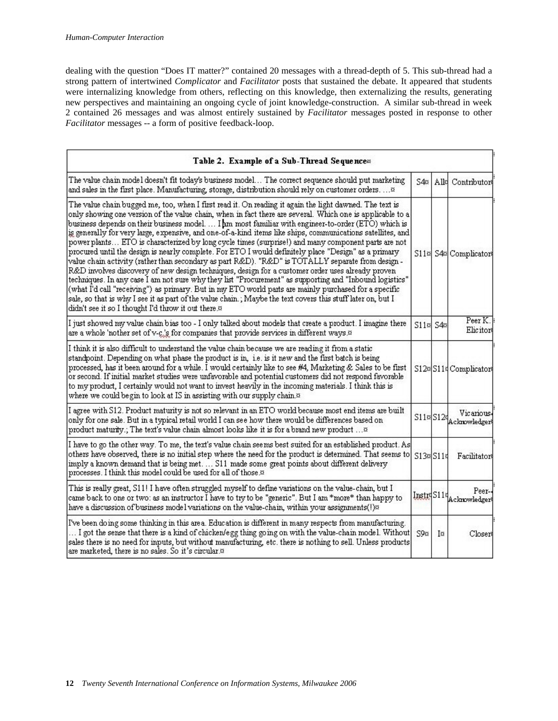dealing with the question "Does IT matter?" contained 20 messages with a thread-depth of 5. This sub-thread had a strong pattern of intertwined *Complicator* and *Facilitator* posts that sustained the debate. It appeared that students were internalizing knowledge from others, reflecting on this knowledge, then externalizing the results, generating new perspectives and maintaining an ongoing cycle of joint knowledge-construction. A similar sub-thread in week 2 contained 26 messages and was almost entirely sustained by *Facilitator* messages posted in response to other *Facilitator* messages -- a form of positive feedback-loop.

| Table 2. Example of a Sub-Thread Sequence»                                                                                                                                                                                                                                                                                                                                                                                                                                                                                                                                                                                                                                                                                                                                                                                                                                                                                                                                                                                                                                                                                                                                                                                                                             |                 |     |                                              |
|------------------------------------------------------------------------------------------------------------------------------------------------------------------------------------------------------------------------------------------------------------------------------------------------------------------------------------------------------------------------------------------------------------------------------------------------------------------------------------------------------------------------------------------------------------------------------------------------------------------------------------------------------------------------------------------------------------------------------------------------------------------------------------------------------------------------------------------------------------------------------------------------------------------------------------------------------------------------------------------------------------------------------------------------------------------------------------------------------------------------------------------------------------------------------------------------------------------------------------------------------------------------|-----------------|-----|----------------------------------------------|
| The value chain model doesn't fit today's business model The correct sequence should put marketing<br>and sales in the first place. Manufacturing, storage, distribution should rely on customer orders. ¤                                                                                                                                                                                                                                                                                                                                                                                                                                                                                                                                                                                                                                                                                                                                                                                                                                                                                                                                                                                                                                                             | $S4\alpha$      | Alk | Contributors                                 |
| The value chain bugged me, too, when I first read it. On reading it again the light dawned. The text is<br>only showing one version of the value chain, when in fact there are several. Which one is applicable to a<br>business depends on their business model. I am most familiar with engineer-to-order (ETO) which is<br>is generally for very large, expensive, and one-of-a-kind items like ships, communications satellites, and<br>power plants ETO is characterized by long cycle times (surprise!) and many component parts are not<br>procured until the design is nearly complete. For ETO I would definitely place "Design" as a primary<br>value chain activity (rather than secondary as part R&D). "R&D" is TOTALLY separate from design -<br>R&D involves discovery of new design techniques, design for a customer order uses already proven<br>techniques. In any case I am not sure why they list "Procurement" as supporting and "Inbound logistics"<br>(what I'd call "receiving") as primary. But in my ETO world parts are mainly purchased for a specific<br>sale, so that is why I see it as part of the value chain.; Maybe the text covers this stuff later on, but I<br>didn't see it so I thought I'd throw it out there. <sup>33</sup> |                 |     | S11¤ S4¤ Complicators                        |
| I just showed my value chain bias too - I only talked about models that create a product. I imagine there<br>are a whole 'nother set of v-c's for companies that provide services in different ways. <sup>33</sup>                                                                                                                                                                                                                                                                                                                                                                                                                                                                                                                                                                                                                                                                                                                                                                                                                                                                                                                                                                                                                                                     | $S11\%$ S4 $\%$ |     | Peer K.<br>Elicitors                         |
| I think it is also difficult to understand the value chain because we are reading it from a static<br>standpoint. Depending on what phase the product is in, i.e. is it new and the first batch is being<br>processed, has it been around for a while. I would certainly like to see #4, Marketing & Sales to be first<br>or second. If initial market studies were unfavorable and potential customers did not respond favorable<br>to my product, I certainly would not want to invest heavily in the incoming materials. I think this is<br>where we could begin to look at IS in assisting with our supply chain. <sup>33</sup>                                                                                                                                                                                                                                                                                                                                                                                                                                                                                                                                                                                                                                    |                 |     | S12¤S11¤ Complicators                        |
| I agree with S12. Product maturity is not so relevant in an ETO world because most end items are built<br>only for one sale. But in a typical retail world I can see how there would be differences based on<br>product maturity.; The text's value chain almost looks like it is for a brand new product                                                                                                                                                                                                                                                                                                                                                                                                                                                                                                                                                                                                                                                                                                                                                                                                                                                                                                                                                              |                 |     | Vicarious.<br>$S11\approx S124$ Acknowledger |
| I have to go the other way. To me, the text's value chain seems best suited for an established product. As<br>others have observed, there is no initial step where the need for the product is determined. That seems to<br>imply a known demand that is being met S11 made some great points about different delivery<br>processes. I think this model could be used for all of those.¤                                                                                                                                                                                                                                                                                                                                                                                                                                                                                                                                                                                                                                                                                                                                                                                                                                                                               | S13¤S11s        |     | Facilitators                                 |
| This is really great, S11! I have often struggled myself to define variations on the value-chain, but I<br>came back to one or two: as an instructor I have to try to be "generic". But I am *more* than happy to<br>have a discussion of business model variations on the value-chain, within your assignments(!)¤                                                                                                                                                                                                                                                                                                                                                                                                                                                                                                                                                                                                                                                                                                                                                                                                                                                                                                                                                    |                 |     | Peer-<br>Instr <sup>S11</sup> Acknowledger   |
| I've been doing some thinking in this area. Education is different in many respects from manufacturing.<br>I got the sense that there is a kind of chicken/egg thing going on with the value-chain model. Without<br>sales there is no need for inputs, but without manufacturing, etc. there is nothing to sell. Unless products<br>are marketed, there is no sales. So it's circular. <sup>33</sup>                                                                                                                                                                                                                                                                                                                                                                                                                                                                                                                                                                                                                                                                                                                                                                                                                                                                  | S9¤             | Ι¤  | Closers                                      |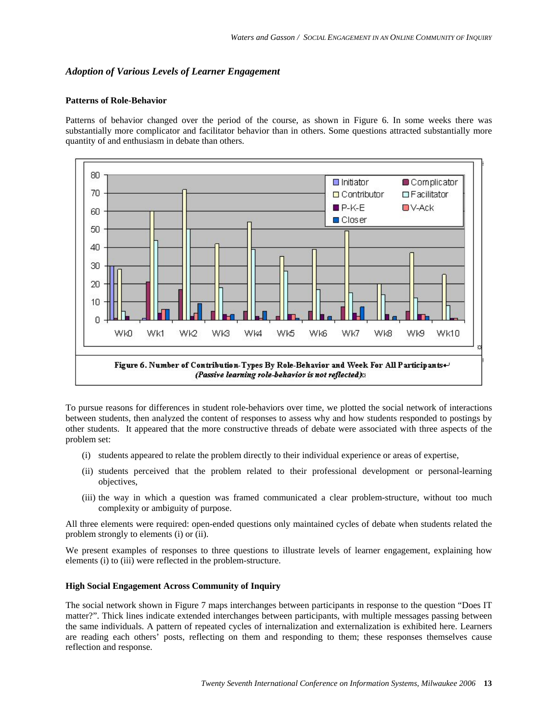# *Adoption of Various Levels of Learner Engagement*

#### **Patterns of Role-Behavior**

Patterns of behavior changed over the period of the course, as shown in Figure 6. In some weeks there was substantially more complicator and facilitator behavior than in others. Some questions attracted substantially more quantity of and enthusiasm in debate than others.



To pursue reasons for differences in student role-behaviors over time, we plotted the social network of interactions between students, then analyzed the content of responses to assess why and how students responded to postings by other students. It appeared that the more constructive threads of debate were associated with three aspects of the problem set:

- (i) students appeared to relate the problem directly to their individual experience or areas of expertise,
- (ii) students perceived that the problem related to their professional development or personal-learning objectives,
- (iii) the way in which a question was framed communicated a clear problem-structure, without too much complexity or ambiguity of purpose.

All three elements were required: open-ended questions only maintained cycles of debate when students related the problem strongly to elements (i) or (ii).

We present examples of responses to three questions to illustrate levels of learner engagement, explaining how elements (i) to (iii) were reflected in the problem-structure.

# **High Social Engagement Across Community of Inquiry**

The social network shown in Figure 7 maps interchanges between participants in response to the question "Does IT matter?". Thick lines indicate extended interchanges between participants, with multiple messages passing between the same individuals. A pattern of repeated cycles of internalization and externalization is exhibited here. Learners are reading each others' posts, reflecting on them and responding to them; these responses themselves cause reflection and response.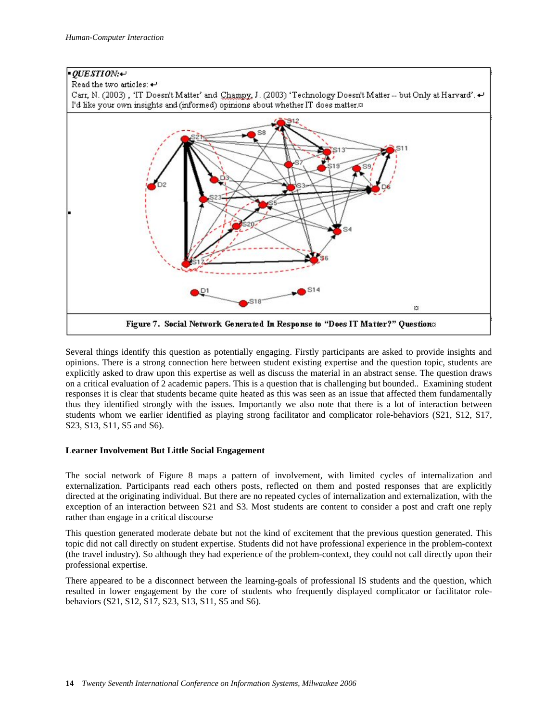

Several things identify this question as potentially engaging. Firstly participants are asked to provide insights and opinions. There is a strong connection here between student existing expertise and the question topic, students are explicitly asked to draw upon this expertise as well as discuss the material in an abstract sense. The question draws on a critical evaluation of 2 academic papers. This is a question that is challenging but bounded.. Examining student responses it is clear that students became quite heated as this was seen as an issue that affected them fundamentally thus they identified strongly with the issues. Importantly we also note that there is a lot of interaction between students whom we earlier identified as playing strong facilitator and complicator role-behaviors (S21, S12, S17, S23, S13, S11, S5 and S6).

# **Learner Involvement But Little Social Engagement**

The social network of Figure 8 maps a pattern of involvement, with limited cycles of internalization and externalization. Participants read each others posts, reflected on them and posted responses that are explicitly directed at the originating individual. But there are no repeated cycles of internalization and externalization, with the exception of an interaction between S21 and S3. Most students are content to consider a post and craft one reply rather than engage in a critical discourse

This question generated moderate debate but not the kind of excitement that the previous question generated. This topic did not call directly on student expertise. Students did not have professional experience in the problem-context (the travel industry). So although they had experience of the problem-context, they could not call directly upon their professional expertise.

There appeared to be a disconnect between the learning-goals of professional IS students and the question, which resulted in lower engagement by the core of students who frequently displayed complicator or facilitator rolebehaviors (S21, S12, S17, S23, S13, S11, S5 and S6).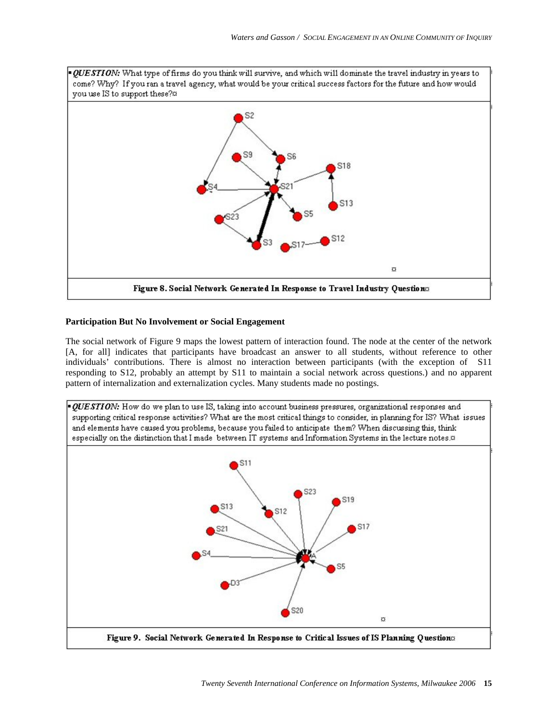

#### **Participation But No Involvement or Social Engagement**

The social network of Figure 9 maps the lowest pattern of interaction found. The node at the center of the network [A, for all] indicates that participants have broadcast an answer to all students, without reference to other individuals' contributions. There is almost no interaction between participants (with the exception of S11 responding to S12, probably an attempt by S11 to maintain a social network across questions.) and no apparent pattern of internalization and externalization cycles. Many students made no postings.

*· QUESTION*: How do we plan to use IS, taking into account business pressures, organizational responses and supporting critical response activities? What are the most critical things to consider, in planning for IS? What issues and elements have caused you problems, because you failed to anticipate them? When discussing this, think especially on the distinction that I made between IT systems and Information Systems in the lecture notes.<sup>33</sup>

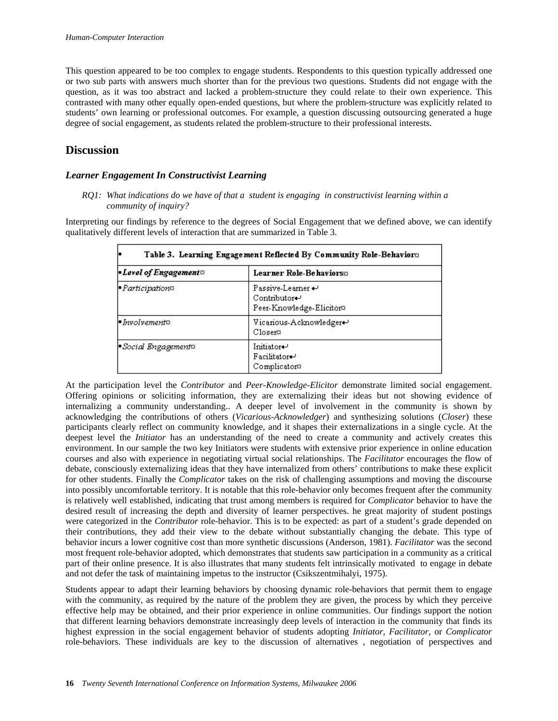This question appeared to be too complex to engage students. Respondents to this question typically addressed one or two sub parts with answers much shorter than for the previous two questions. Students did not engage with the question, as it was too abstract and lacked a problem-structure they could relate to their own experience. This contrasted with many other equally open-ended questions, but where the problem-structure was explicitly related to students' own learning or professional outcomes. For example, a question discussing outsourcing generated a huge degree of social engagement, as students related the problem-structure to their professional interests.

# **Discussion**

# *Learner Engagement In Constructivist Learning*

*RQ1: What indications do we have of that a student is engaging in constructivist learning within a community of inquiry?* 

Interpreting our findings by reference to the degrees of Social Engagement that we defined above, we can identify qualitatively different levels of interaction that are summarized in Table 3.

| <b>E</b> Level of Engagement <sup>o</sup> | Learner Role-Behaviors¤<br>Passive-Learner +<br>Contributor+<br>Peer-Knowledge-Elicitor® |  |
|-------------------------------------------|------------------------------------------------------------------------------------------|--|
| <i>Participation</i> <sub>2</sub>         |                                                                                          |  |
| $\blacksquare$ Involvement $\alpha$       | Vicarious-Acknowledger+<br>Closero                                                       |  |
| Social Engagements                        | Initiator+<br>Facilitator-<br>Complicator®                                               |  |

At the participation level the *Contributor* and *Peer-Knowledge-Elicitor* demonstrate limited social engagement. Offering opinions or soliciting information, they are externalizing their ideas but not showing evidence of internalizing a community understanding.. A deeper level of involvement in the community is shown by acknowledging the contributions of others (*Vicarious-Acknowledger*) and synthesizing solutions (*Closer*) these participants clearly reflect on community knowledge, and it shapes their externalizations in a single cycle. At the deepest level the *Initiator* has an understanding of the need to create a community and actively creates this environment. In our sample the two key Initiators were students with extensive prior experience in online education courses and also with experience in negotiating virtual social relationships. The *Facilitator* encourages the flow of debate, consciously externalizing ideas that they have internalized from others' contributions to make these explicit for other students. Finally the *Complicator* takes on the risk of challenging assumptions and moving the discourse into possibly uncomfortable territory. It is notable that this role-behavior only becomes frequent after the community is relatively well established, indicating that trust among members is required for *Complicator* behavior to have the desired result of increasing the depth and diversity of learner perspectives. he great majority of student postings were categorized in the *Contributor* role-behavior. This is to be expected: as part of a student's grade depended on their contributions, they add their view to the debate without substantially changing the debate. This type of behavior incurs a lower cognitive cost than more synthetic discussions (Anderson, 1981). *Facilitator* was the second most frequent role-behavior adopted, which demonstrates that students saw participation in a community as a critical part of their online presence. It is also illustrates that many students felt intrinsically motivated to engage in debate and not defer the task of maintaining impetus to the instructor (Csikszentmihalyi, 1975).

Students appear to adapt their learning behaviors by choosing dynamic role-behaviors that permit them to engage with the community, as required by the nature of the problem they are given, the process by which they perceive effective help may be obtained, and their prior experience in online communities. Our findings support the notion that different learning behaviors demonstrate increasingly deep levels of interaction in the community that finds its highest expression in the social engagement behavior of students adopting *Initiator*, *Facilitator*, or *Complicator* role-behaviors. These individuals are key to the discussion of alternatives , negotiation of perspectives and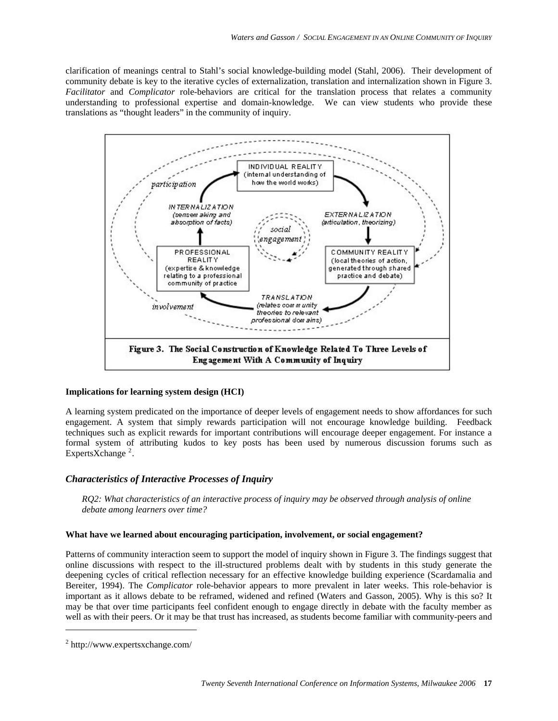clarification of meanings central to Stahl's social knowledge-building model (Stahl, 2006). Their development of community debate is key to the iterative cycles of externalization, translation and internalization shown in Figure 3. *Facilitator* and *Complicator* role-behaviors are critical for the translation process that relates a community understanding to professional expertise and domain-knowledge. We can view students who provide these translations as "thought leaders" in the community of inquiry.



#### **Implications for learning system design (HCI)**

A learning system predicated on the importance of deeper levels of engagement needs to show affordances for such engagement. A system that simply rewards participation will not encourage knowledge building. Feedback techniques such as explicit rewards for important contributions will encourage deeper engagement. For instance a formal system of attributing kudos to key posts has been used by numerous discussion forums such as Experts $X$ change<sup>[2](#page-16-0)</sup>.

## *Characteristics of Interactive Processes of Inquiry*

*RQ2: What characteristics of an interactive process of inquiry may be observed through analysis of online debate among learners over time?* 

#### **What have we learned about encouraging participation, involvement, or social engagement?**

Patterns of community interaction seem to support the model of inquiry shown in Figure 3. The findings suggest that online discussions with respect to the ill-structured problems dealt with by students in this study generate the deepening cycles of critical reflection necessary for an effective knowledge building experience (Scardamalia and Bereiter, 1994). The *Complicator* role-behavior appears to more prevalent in later weeks. This role-behavior is important as it allows debate to be reframed, widened and refined (Waters and Gasson, 2005). Why is this so? It may be that over time participants feel confident enough to engage directly in debate with the faculty member as well as with their peers. Or it may be that trust has increased, as students become familiar with community-peers and

-

<span id="page-16-0"></span><sup>2</sup> http://www.expertsxchange.com/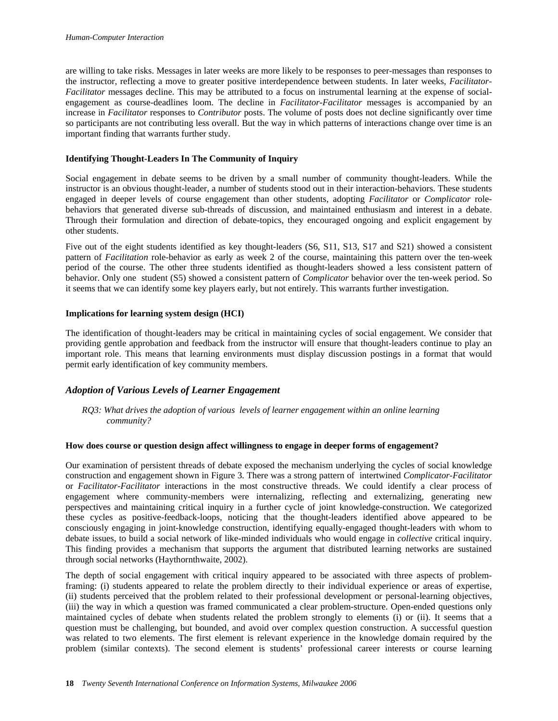are willing to take risks. Messages in later weeks are more likely to be responses to peer-messages than responses to the instructor, reflecting a move to greater positive interdependence between students. In later weeks, *Facilitator*-*Facilitator* messages decline. This may be attributed to a focus on instrumental learning at the expense of socialengagement as course-deadlines loom. The decline in *Facilitator*-*Facilitator* messages is accompanied by an increase in *Facilitator* responses to *Contributor* posts. The volume of posts does not decline significantly over time so participants are not contributing less overall. But the way in which patterns of interactions change over time is an important finding that warrants further study.

#### **Identifying Thought-Leaders In The Community of Inquiry**

Social engagement in debate seems to be driven by a small number of community thought-leaders. While the instructor is an obvious thought-leader, a number of students stood out in their interaction-behaviors. These students engaged in deeper levels of course engagement than other students, adopting *Facilitator* or *Complicator* rolebehaviors that generated diverse sub-threads of discussion, and maintained enthusiasm and interest in a debate. Through their formulation and direction of debate-topics, they encouraged ongoing and explicit engagement by other students.

Five out of the eight students identified as key thought-leaders (S6, S11, S13, S17 and S21) showed a consistent pattern of *Facilitation* role-behavior as early as week 2 of the course, maintaining this pattern over the ten-week period of the course. The other three students identified as thought-leaders showed a less consistent pattern of behavior. Only one student (S5) showed a consistent pattern of *Complicator* behavior over the ten-week period. So it seems that we can identify some key players early, but not entirely. This warrants further investigation.

#### **Implications for learning system design (HCI)**

The identification of thought-leaders may be critical in maintaining cycles of social engagement. We consider that providing gentle approbation and feedback from the instructor will ensure that thought-leaders continue to play an important role. This means that learning environments must display discussion postings in a format that would permit early identification of key community members.

## *Adoption of Various Levels of Learner Engagement*

*RQ3: What drives the adoption of various levels of learner engagement within an online learning community?* 

#### **How does course or question design affect willingness to engage in deeper forms of engagement?**

Our examination of persistent threads of debate exposed the mechanism underlying the cycles of social knowledge construction and engagement shown in Figure 3. There was a strong pattern of intertwined *Complicator*-*Facilitator* or *Facilitator*-*Facilitator* interactions in the most constructive threads. We could identify a clear process of engagement where community-members were internalizing, reflecting and externalizing, generating new perspectives and maintaining critical inquiry in a further cycle of joint knowledge-construction. We categorized these cycles as positive-feedback-loops, noticing that the thought-leaders identified above appeared to be consciously engaging in joint-knowledge construction, identifying equally-engaged thought-leaders with whom to debate issues, to build a social network of like-minded individuals who would engage in *collective* critical inquiry. This finding provides a mechanism that supports the argument that distributed learning networks are sustained through social networks (Haythornthwaite, 2002).

The depth of social engagement with critical inquiry appeared to be associated with three aspects of problemframing: (i) students appeared to relate the problem directly to their individual experience or areas of expertise, (ii) students perceived that the problem related to their professional development or personal-learning objectives, (iii) the way in which a question was framed communicated a clear problem-structure. Open-ended questions only maintained cycles of debate when students related the problem strongly to elements (i) or (ii). It seems that a question must be challenging, but bounded, and avoid over complex question construction. A successful question was related to two elements. The first element is relevant experience in the knowledge domain required by the problem (similar contexts). The second element is students' professional career interests or course learning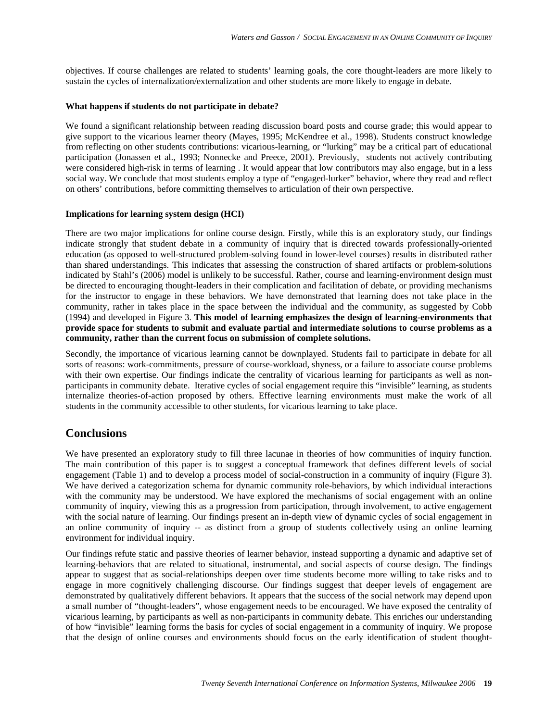objectives. If course challenges are related to students' learning goals, the core thought-leaders are more likely to sustain the cycles of internalization/externalization and other students are more likely to engage in debate.

#### **What happens if students do not participate in debate?**

We found a significant relationship between reading discussion board posts and course grade; this would appear to give support to the vicarious learner theory (Mayes, 1995; McKendree et al., 1998). Students construct knowledge from reflecting on other students contributions: vicarious-learning, or "lurking" may be a critical part of educational participation (Jonassen et al., 1993; Nonnecke and Preece, 2001). Previously, students not actively contributing were considered high-risk in terms of learning . It would appear that low contributors may also engage, but in a less social way. We conclude that most students employ a type of "engaged-lurker" behavior, where they read and reflect on others' contributions, before committing themselves to articulation of their own perspective.

#### **Implications for learning system design (HCI)**

There are two major implications for online course design. Firstly, while this is an exploratory study, our findings indicate strongly that student debate in a community of inquiry that is directed towards professionally-oriented education (as opposed to well-structured problem-solving found in lower-level courses) results in distributed rather than shared understandings. This indicates that assessing the construction of shared artifacts or problem-solutions indicated by Stahl's (2006) model is unlikely to be successful. Rather, course and learning-environment design must be directed to encouraging thought-leaders in their complication and facilitation of debate, or providing mechanisms for the instructor to engage in these behaviors. We have demonstrated that learning does not take place in the community, rather in takes place in the space between the individual and the community, as suggested by Cobb (1994) and developed in Figure 3. **This model of learning emphasizes the design of learning-environments that provide space for students to submit and evaluate partial and intermediate solutions to course problems as a community, rather than the current focus on submission of complete solutions.** 

Secondly, the importance of vicarious learning cannot be downplayed. Students fail to participate in debate for all sorts of reasons: work-commitments, pressure of course-workload, shyness, or a failure to associate course problems with their own expertise. Our findings indicate the centrality of vicarious learning for participants as well as nonparticipants in community debate. Iterative cycles of social engagement require this "invisible" learning, as students internalize theories-of-action proposed by others. Effective learning environments must make the work of all students in the community accessible to other students, for vicarious learning to take place.

# **Conclusions**

We have presented an exploratory study to fill three lacunae in theories of how communities of inquiry function. The main contribution of this paper is to suggest a conceptual framework that defines different levels of social engagement (Table 1) and to develop a process model of social-construction in a community of inquiry (Figure 3). We have derived a categorization schema for dynamic community role-behaviors, by which individual interactions with the community may be understood. We have explored the mechanisms of social engagement with an online community of inquiry, viewing this as a progression from participation, through involvement, to active engagement with the social nature of learning. Our findings present an in-depth view of dynamic cycles of social engagement in an online community of inquiry -- as distinct from a group of students collectively using an online learning environment for individual inquiry.

Our findings refute static and passive theories of learner behavior, instead supporting a dynamic and adaptive set of learning-behaviors that are related to situational, instrumental, and social aspects of course design. The findings appear to suggest that as social-relationships deepen over time students become more willing to take risks and to engage in more cognitively challenging discourse. Our findings suggest that deeper levels of engagement are demonstrated by qualitatively different behaviors. It appears that the success of the social network may depend upon a small number of "thought-leaders", whose engagement needs to be encouraged. We have exposed the centrality of vicarious learning, by participants as well as non-participants in community debate. This enriches our understanding of how "invisible" learning forms the basis for cycles of social engagement in a community of inquiry. We propose that the design of online courses and environments should focus on the early identification of student thought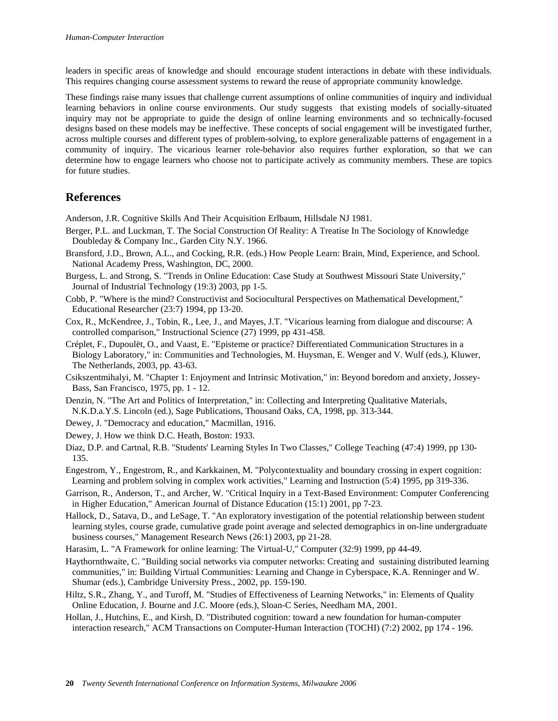leaders in specific areas of knowledge and should encourage student interactions in debate with these individuals. This requires changing course assessment systems to reward the reuse of appropriate community knowledge.

These findings raise many issues that challenge current assumptions of online communities of inquiry and individual learning behaviors in online course environments. Our study suggests that existing models of socially-situated inquiry may not be appropriate to guide the design of online learning environments and so technically-focused designs based on these models may be ineffective. These concepts of social engagement will be investigated further, across multiple courses and different types of problem-solving, to explore generalizable patterns of engagement in a community of inquiry. The vicarious learner role-behavior also requires further exploration, so that we can determine how to engage learners who choose not to participate actively as community members. These are topics for future studies.

# **References**

Anderson, J.R. Cognitive Skills And Their Acquisition Erlbaum, Hillsdale NJ 1981.

- Berger, P.L. and Luckman, T. The Social Construction Of Reality: A Treatise In The Sociology of Knowledge Doubleday & Company Inc., Garden City N.Y. 1966.
- Bransford, J.D., Brown, A.L., and Cocking, R.R. (eds.) How People Learn: Brain, Mind, Experience, and School. National Academy Press, Washington, DC, 2000.
- Burgess, L. and Strong, S. "Trends in Online Education: Case Study at Southwest Missouri State University," Journal of Industrial Technology (19:3) 2003, pp 1-5.
- Cobb, P. "Where is the mind? Constructivist and Sociocultural Perspectives on Mathematical Development," Educational Researcher (23:7) 1994, pp 13-20.
- Cox, R., McKendree, J., Tobin, R., Lee, J., and Mayes, J.T. "Vicarious learning from dialogue and discourse: A controlled comparison," Instructional Science (27) 1999, pp 431-458.
- Créplet, F., Dupoulët, O., and Vaast, E. "Episteme or practice? Differentiated Communication Structures in a Biology Laboratory," in: Communities and Technologies, M. Huysman, E. Wenger and V. Wulf (eds.), Kluwer, The Netherlands, 2003, pp. 43-63.
- Csikszentmihalyi, M. "Chapter 1: Enjoyment and Intrinsic Motivation," in: Beyond boredom and anxiety, Jossey-Bass, San Francisco, 1975, pp. 1 - 12.
- Denzin, N. "The Art and Politics of Interpretation," in: Collecting and Interpreting Qualitative Materials, N.K.D.a.Y.S. Lincoln (ed.), Sage Publications, Thousand Oaks, CA, 1998, pp. 313-344.
- Dewey, J. "Democracy and education," Macmillan, 1916.
- Dewey, J. How we think D.C. Heath, Boston: 1933.
- Diaz, D.P. and Cartnal, R.B. "Students' Learning Styles In Two Classes," College Teaching (47:4) 1999, pp 130- 135.
- Engestrom, Y., Engestrom, R., and Karkkainen, M. "Polycontextuality and boundary crossing in expert cognition: Learning and problem solving in complex work activities," Learning and Instruction (5:4) 1995, pp 319-336.
- Garrison, R., Anderson, T., and Archer, W. "Critical Inquiry in a Text-Based Environment: Computer Conferencing in Higher Education," American Journal of Distance Education (15:1) 2001, pp 7-23.
- Hallock, D., Satava, D., and LeSage, T. "An exploratory investigation of the potential relationship between student learning styles, course grade, cumulative grade point average and selected demographics in on-line undergraduate business courses," Management Research News (26:1) 2003, pp 21-28.
- Harasim, L. "A Framework for online learning: The Virtual-U," Computer (32:9) 1999, pp 44-49.
- Haythornthwaite, C. "Building social networks via computer networks: Creating and sustaining distributed learning communities," in: Building Virtual Communities: Learning and Change in Cyberspace, K.A. Renninger and W. Shumar (eds.), Cambridge University Press., 2002, pp. 159-190.
- Hiltz, S.R., Zhang, Y., and Turoff, M. "Studies of Effectiveness of Learning Networks," in: Elements of Quality Online Education, J. Bourne and J.C. Moore (eds.), Sloan-C Series, Needham MA, 2001.
- Hollan, J., Hutchins, E., and Kirsh, D. "Distributed cognition: toward a new foundation for human-computer interaction research," ACM Transactions on Computer-Human Interaction (TOCHI) (7:2) 2002, pp 174 - 196.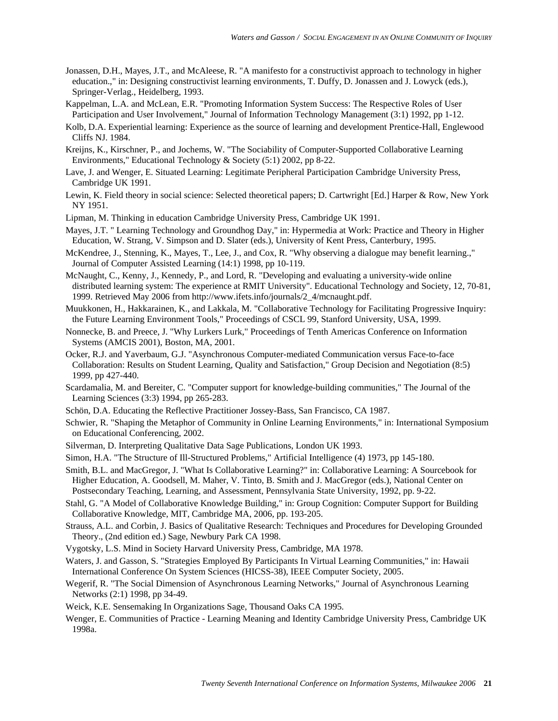- Jonassen, D.H., Mayes, J.T., and McAleese, R. "A manifesto for a constructivist approach to technology in higher education.," in: Designing constructivist learning environments, T. Duffy, D. Jonassen and J. Lowyck (eds.), Springer-Verlag., Heidelberg, 1993.
- Kappelman, L.A. and McLean, E.R. "Promoting Information System Success: The Respective Roles of User Participation and User Involvement," Journal of Information Technology Management (3:1) 1992, pp 1-12.
- Kolb, D.A. Experiential learning: Experience as the source of learning and development Prentice-Hall, Englewood Cliffs NJ. 1984.
- Kreijns, K., Kirschner, P., and Jochems, W. "The Sociability of Computer-Supported Collaborative Learning Environments," Educational Technology & Society (5:1) 2002, pp 8-22.
- Lave, J. and Wenger, E. Situated Learning: Legitimate Peripheral Participation Cambridge University Press, Cambridge UK 1991.
- Lewin, K. Field theory in social science: Selected theoretical papers; D. Cartwright [Ed.] Harper & Row, New York NY 1951.
- Lipman, M. Thinking in education Cambridge University Press, Cambridge UK 1991.
- Mayes, J.T. " Learning Technology and Groundhog Day," in: Hypermedia at Work: Practice and Theory in Higher Education, W. Strang, V. Simpson and D. Slater (eds.), University of Kent Press, Canterbury, 1995.
- McKendree, J., Stenning, K., Mayes, T., Lee, J., and Cox, R. "Why observing a dialogue may benefit learning.," Journal of Computer Assisted Learning (14:1) 1998, pp 10-119.
- McNaught, C., Kenny, J., Kennedy, P., and Lord, R. "Developing and evaluating a university-wide online distributed learning system: The experience at RMIT University". Educational Technology and Society, 12, 70-81, 1999. Retrieved May 2006 from http://www.ifets.info/journals/2\_4/mcnaught.pdf.
- Muukkonen, H., Hakkarainen, K., and Lakkala, M. "Collaborative Technology for Facilitating Progressive Inquiry: the Future Learning Environment Tools," Proceedings of CSCL 99, Stanford University, USA, 1999.
- Nonnecke, B. and Preece, J. "Why Lurkers Lurk," Proceedings of Tenth Americas Conference on Information Systems (AMCIS 2001), Boston, MA, 2001.
- Ocker, R.J. and Yaverbaum, G.J. "Asynchronous Computer-mediated Communication versus Face-to-face Collaboration: Results on Student Learning, Quality and Satisfaction," Group Decision and Negotiation (8:5) 1999, pp 427-440.
- Scardamalia, M. and Bereiter, C. "Computer support for knowledge-building communities," The Journal of the Learning Sciences (3:3) 1994, pp 265-283.
- Schön, D.A. Educating the Reflective Practitioner Jossey-Bass, San Francisco, CA 1987.
- Schwier, R. "Shaping the Metaphor of Community in Online Learning Environments," in: International Symposium on Educational Conferencing, 2002.
- Silverman, D. Interpreting Qualitative Data Sage Publications, London UK 1993.
- Simon, H.A. "The Structure of Ill-Structured Problems," Artificial Intelligence (4) 1973, pp 145-180.
- Smith, B.L. and MacGregor, J. "What Is Collaborative Learning?" in: Collaborative Learning: A Sourcebook for Higher Education, A. Goodsell, M. Maher, V. Tinto, B. Smith and J. MacGregor (eds.), National Center on Postsecondary Teaching, Learning, and Assessment, Pennsylvania State University, 1992, pp. 9-22.
- Stahl, G. "A Model of Collaborative Knowledge Building," in: Group Cognition: Computer Support for Building Collaborative Knowledge, MIT, Cambridge MA, 2006, pp. 193-205.
- Strauss, A.L. and Corbin, J. Basics of Qualitative Research: Techniques and Procedures for Developing Grounded Theory., (2nd edition ed.) Sage, Newbury Park CA 1998.
- Vygotsky, L.S. Mind in Society Harvard University Press, Cambridge, MA 1978.
- Waters, J. and Gasson, S. "Strategies Employed By Participants In Virtual Learning Communities," in: Hawaii International Conference On System Sciences (HICSS-38), IEEE Computer Society, 2005.
- Wegerif, R. "The Social Dimension of Asynchronous Learning Networks," Journal of Asynchronous Learning Networks (2:1) 1998, pp 34-49.
- Weick, K.E. Sensemaking In Organizations Sage, Thousand Oaks CA 1995.
- Wenger, E. Communities of Practice Learning Meaning and Identity Cambridge University Press, Cambridge UK 1998a.